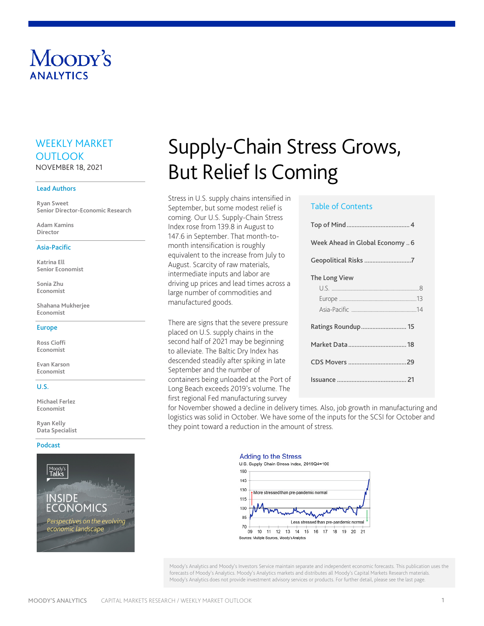# Moody's **ANAIYTICS**

# WEEKLY MARKET **OUTLOOK** NOVEMBER 18, 2021

#### Lead Authors

**Ryan Sweet Senior Director-Economic Research**

**Adam Kamins Director**

#### Asia-Pacific

**Katrina Ell Senior Economist**

**Sonia Zhu Economist**

**Shahana Mukherjee Economist**

#### Europe

**Ross Cioffi Economist**

**Evan Karson Economist**

#### U.S.

**Michael Ferlez Economist**

**Ryan Kelly Data Specialist**

#### [Podcast](https://about.moodys.io/podcast-series/moodys-talks-inside-economics)



# Supply-Chain Stress Grows, But Relief Is Coming

Stress in U.S. supply chains intensified in September, but some modest relief is coming. Our U.S. Supply-Chain Stress Index rose from 139.8 in August to 147.6 in September. That month-tomonth intensification is roughly equivalent to the increase from July to August. Scarcity of raw materials, intermediate inputs and labor are driving up prices and lead times across a large number of commodities and manufactured goods.

There are signs that the severe pressure placed on U.S. supply chains in the second half of 2021 may be beginning to alleviate. The Baltic Dry Index has descended steadily after spiking in late September and the number of containers being unloaded at the Port of Long Beach exceeds 2019's volume. The first regional Fed manufacturing survey

#### Table of Contents

| Week Ahead in Global Economy  6 |  |
|---------------------------------|--|
|                                 |  |
| The Long View                   |  |
|                                 |  |
|                                 |  |
|                                 |  |
|                                 |  |
|                                 |  |
|                                 |  |
|                                 |  |
|                                 |  |

for November showed a decline in delivery times. Also, job growth in manufacturing and logistics was solid in October. We have some of the inputs for the SCSI for October and they point toward a reduction in the amount of stress.

#### **Adding to the Stress**



Moody's Analytics and Moody's Investors Service maintain separate and independent economic forecasts. This publication uses the forecasts of Moody's Analytics. Moody's Analytics markets and distributes all Moody's Capital Markets Research materials. Moody's Analytics does not provide investment advisory services or products. For further detail, please see the last page.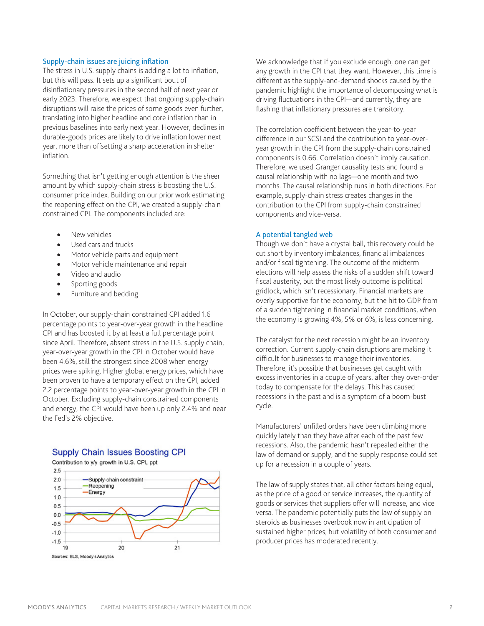#### Supply-chain issues are juicing inflation

The stress in U.S. supply chains is adding a lot to inflation, but this will pass. It sets up a significant bout of disinflationary pressures in the second half of next year or early 2023. Therefore, we expect that ongoing supply-chain disruptions will raise the prices of some goods even further, translating into higher headline and core inflation than in previous baselines into early next year. However, declines in durable-goods prices are likely to drive inflation lower next year, more than offsetting a sharp acceleration in shelter inflation.

Something that isn't getting enough attention is the sheer amount by which supply-chain stress is boosting the U.S. consumer price index. Building on our prior work estimating the reopening effect on the CPI, we created a supply-chain constrained CPI. The components included are:

- New vehicles
- Used cars and trucks
- Motor vehicle parts and equipment
- Motor vehicle maintenance and repair
- Video and audio
- Sporting goods
- Furniture and bedding

In October, our supply-chain constrained CPI added 1.6 percentage points to year-over-year growth in the headline CPI and has boosted it by at least a full percentage point since April. Therefore, absent stress in the U.S. supply chain, year-over-year growth in the CPI in October would have been 4.6%, still the strongest since 2008 when energy prices were spiking. Higher global energy prices, which have been proven to have a temporary effect on the CPI, added 2.2 percentage points to year-over-year growth in the CPI in October. Excluding supply-chain constrained components and energy, the CPI would have been up only 2.4% and near the Fed's 2% objective.

# **Supply Chain Issues Boosting CPI**

Contribution to y/y growth in U.S. CPI, ppt



We acknowledge that if you exclude enough, one can get any growth in the CPI that they want. However, this time is different as the supply-and-demand shocks caused by the pandemic highlight the importance of decomposing what is driving fluctuations in the CPI—and currently, they are flashing that inflationary pressures are transitory.

The correlation coefficient between the year-to-year difference in our SCSI and the contribution to year-overyear growth in the CPI from the supply-chain constrained components is 0.66. Correlation doesn't imply causation. Therefore, we used Granger causality tests and found a causal relationship with no lags—one month and two months. The causal relationship runs in both directions. For example, supply-chain stress creates changes in the contribution to the CPI from supply-chain constrained components and vice-versa.

#### A potential tangled web

Though we don't have a crystal ball, this recovery could be cut short by inventory imbalances, financial imbalances and/or fiscal tightening. The outcome of the midterm elections will help assess the risks of a sudden shift toward fiscal austerity, but the most likely outcome is political gridlock, which isn't recessionary. Financial markets are overly supportive for the economy, but the hit to GDP from of a sudden tightening in financial market conditions, when the economy is growing 4%, 5% or 6%, is less concerning.

The catalyst for the next recession might be an inventory correction. Current supply-chain disruptions are making it difficult for businesses to manage their inventories. Therefore, it's possible that businesses get caught with excess inventories in a couple of years, after they over-order today to compensate for the delays. This has caused recessions in the past and is a symptom of a boom-bust cycle.

Manufacturers' unfilled orders have been climbing more quickly lately than they have after each of the past few recessions. Also, the pandemic hasn't repealed either the law of demand or supply, and the supply response could set up for a recession in a couple of years.

The law of supply states that, all other factors being equal, as the price of a good or service increases, the quantity of goods or services that suppliers offer will increase, and vice versa. The pandemic potentially puts the law of supply on steroids as businesses overbook now in anticipation of sustained higher prices, but volatility of both consumer and producer prices has moderated recently.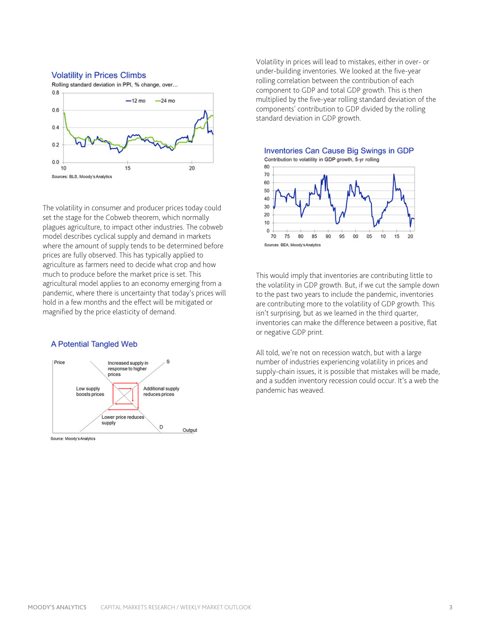#### **Volatility in Prices Climbs**



The volatility in consumer and producer prices today could set the stage for the Cobweb theorem, which normally plagues agriculture, to impact other industries. The cobweb model describes cyclical supply and demand in markets where the amount of supply tends to be determined before prices are fully observed. This has typically applied to agriculture as farmers need to decide what crop and how much to produce before the market price is set. This agricultural model applies to an economy emerging from a pandemic, where there is uncertainty that today's prices will hold in a few months and the effect will be mitigated or magnified by the price elasticity of demand.

#### A Potential Tangled Web



Source: Moody's Analytics

Volatility in prices will lead to mistakes, either in over- or under-building inventories. We looked at the five-year rolling correlation between the contribution of each component to GDP and total GDP growth. This is then multiplied by the five-year rolling standard deviation of the components' contribution to GDP divided by the rolling standard deviation in GDP growth.



This would imply that inventories are contributing little to the volatility in GDP growth. But, if we cut the sample down to the past two years to include the pandemic, inventories are contributing more to the volatility of GDP growth. This isn't surprising, but as we learned in the third quarter, inventories can make the difference between a positive, flat or negative GDP print.

All told, we're not on recession watch, but with a large number of industries experiencing volatility in prices and supply-chain issues, it is possible that mistakes will be made, and a sudden inventory recession could occur. It's a web the pandemic has weaved.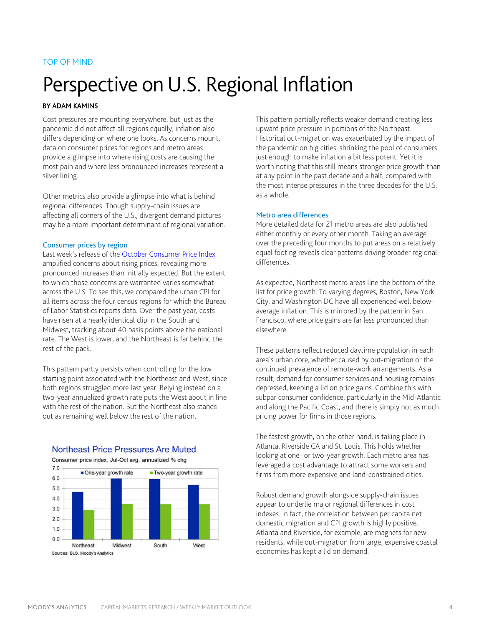### TOP OF MIND

# Perspective on U.S. Regional Inflation

#### BY ADAM KAMINS

Cost pressures are mounting everywhere, but just as the pandemic did not affect all regions equally, inflation also differs depending on where one looks. As concerns mount, data on consumer prices for regions and metro areas provide a glimpse into where rising costs are causing the most pain and where less pronounced increases represent a silver lining.

Other metrics also provide a glimpse into what is behind regional differences. Though supply-chain issues are affecting all corners of the U.S., divergent demand pictures may be a more important determinant of regional variation.

#### Consumer prices by region

Last week's release of the [October Consumer Price Index](https://www.economy.com/economicview/indicator/usa_cpi/0534D91E-1356-486C-B25D-1ECC707D5AB6/United-States-Consumer-Price-Index) amplified concerns about rising prices, revealing more pronounced increases than initially expected. But the extent to which those concerns are warranted varies somewhat across the U.S. To see this, we compared the urban CPI for all items across the four census regions for which the Bureau of Labor Statistics reports data. Over the past year, costs have risen at a nearly identical clip in the South and Midwest, tracking about 40 basis points above the national rate. The West is lower, and the Northeast is far behind the rest of the pack.

This pattern partly persists when controlling for the low starting point associated with the Northeast and West, since both regions struggled more last year. Relying instead on a two-year annualized growth rate puts the West about in line with the rest of the nation. But the Northeast also stands out as remaining well below the rest of the nation.



Northeast Price Pressures Are Muted Consumer price index, Jul-Oct avg, annualized % chg

This pattern partially reflects weaker demand creating less upward price pressure in portions of the Northeast. Historical out-migration was exacerbated by the impact of the pandemic on big cities, shrinking the pool of consumers just enough to make inflation a bit less potent. Yet it is worth noting that this still means stronger price growth than at any point in the past decade and a half, compared with the most intense pressures in the three decades for the U.S. as a whole.

#### Metro area differences

More detailed data for 21 metro areas are also published either monthly or every other month. Taking an average over the preceding four months to put areas on a relatively equal footing reveals clear patterns driving broader regional differences.

As expected, Northeast metro areas line the bottom of the list for price growth. To varying degrees, Boston, New York City, and Washington DC have all experienced well belowaverage inflation. This is mirrored by the pattern in San Francisco, where price gains are far less pronounced than elsewhere.

These patterns reflect reduced daytime population in each area's urban core, whether caused by out-migration or the continued prevalence of remote-work arrangements. As a result, demand for consumer services and housing remains depressed, keeping a lid on price gains. Combine this with subpar consumer confidence, particularly in the Mid-Atlantic and along the Pacific Coast, and there is simply not as much pricing power for firms in those regions.

The fastest growth, on the other hand, is taking place in Atlanta, Riverside CA and St. Louis. This holds whether looking at one- or two-year growth. Each metro area has leveraged a cost advantage to attract some workers and firms from more expensive and land-constrained cities.

Robust demand growth alongside supply-chain issues appear to underlie major regional differences in cost indexes. In fact, the correlation between per capita net domestic migration and CPI growth is highly positive. Atlanta and Riverside, for example, are magnets for new residents, while out-migration from large, expensive coastal economies has kept a lid on demand.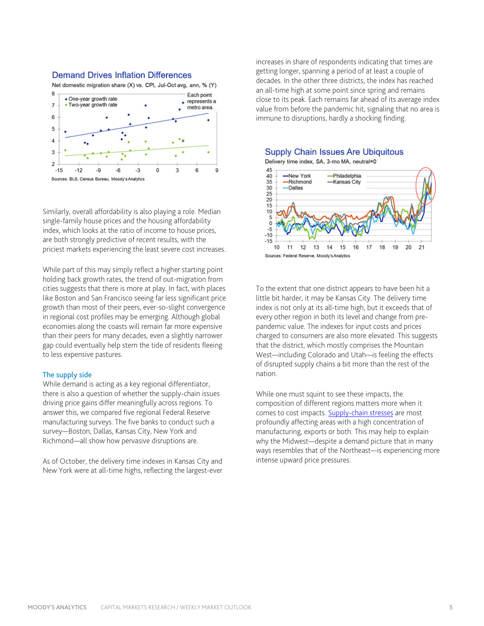

Net domestic migration share (X) vs. CPI, Jul-Oct avg, ann, % (Y)



Similarly, overall affordability is also playing a role. Median single-family house prices and the housing affordability index, which looks at the ratio of income to house prices, are both strongly predictive of recent results, with the priciest markets experiencing the least severe cost increases.

While part of this may simply reflect a higher starting point holding back growth rates, the trend of out-migration from cities suggests that there is more at play. In fact, with places like Boston and San Francisco seeing far less significant price growth than most of their peers, ever-so-slight convergence in regional cost profiles may be emerging. Although global economies along the coasts will remain far more expensive than their peers for many decades, even a slightly narrower gap could eventually help stem the tide of residents fleeing to less expensive pastures.

#### The supply side

While demand is acting as a key regional differentiator, there is also a question of whether the supply-chain issues driving price gains differ meaningfully across regions. To answer this, we compared five regional Federal Reserve manufacturing surveys. The five banks to conduct such a survey—Boston, Dallas, Kansas City, New York and Richmond—all show how pervasive disruptions are.

As of October, the delivery time indexes in Kansas City and New York were at all-time highs, reflecting the largest-ever increases in share of respondents indicating that times are getting longer, spanning a period of at least a couple of decades. In the other three districts, the index has reached an all-time high at some point since spring and remains close to its peak. Each remains far ahead of its average index value from before the pandemic hit, signaling that no area is immune to disruptions, hardly a shocking finding.

Supply Chain Issues Are Ubiquitous

Delivery time index, SA, 3-mo MA, neutral=0



To the extent that one district appears to have been hit a little bit harder, it may be Kansas City. The delivery time index is not only at its all-time high, but it exceeds that of every other region in both its level and change from prepandemic value. The indexes for input costs and prices charged to consumers are also more elevated. This suggests that the district, which mostly comprises the Mountain West—including Colorado and Utah—is feeling the effects of disrupted supply chains a bit more than the rest of the nation.

While one must squint to see these impacts, the composition of different regions matters more when it comes to cost impacts. [Supply-chain stresses](https://www.economy.com/economicview/analysis/386274) are most profoundly affecting areas with a high concentration of manufacturing, exports or both. This may help to explain why the Midwest—despite a demand picture that in many ways resembles that of the Northeast—is experiencing more intense upward price pressures.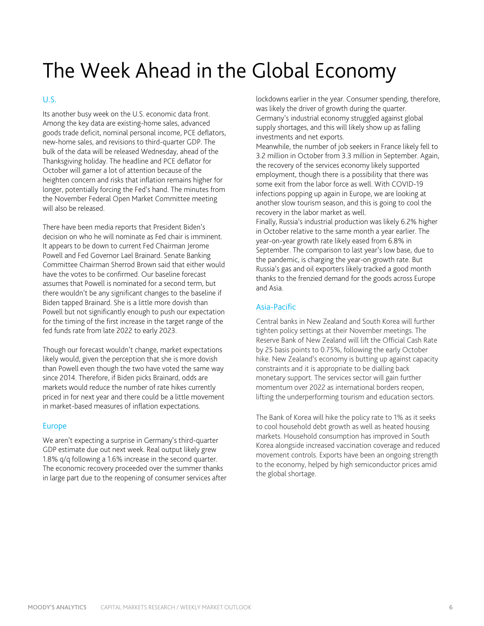# The Week Ahead in the Global Economy

### $U_{\rm S}$

Its another busy week on the U.S. economic data front. Among the key data are existing-home sales, advanced goods trade deficit, nominal personal income, PCE deflators, new-home sales, and revisions to third-quarter GDP. The bulk of the data will be released Wednesday, ahead of the Thanksgiving holiday. The headline and PCE deflator for October will garner a lot of attention because of the heighten concern and risks that inflation remains higher for longer, potentially forcing the Fed's hand. The minutes from the November Federal Open Market Committee meeting will also be released.

There have been media reports that President Biden's decision on who he will nominate as Fed chair is imminent. It appears to be down to current Fed Chairman Jerome Powell and Fed Governor Lael Brainard. Senate Banking Committee Chairman Sherrod Brown said that either would have the votes to be confirmed. Our baseline forecast assumes that Powell is nominated for a second term, but there wouldn't be any significant changes to the baseline if Biden tapped Brainard. She is a little more dovish than Powell but not significantly enough to push our expectation for the timing of the first increase in the target range of the fed funds rate from late 2022 to early 2023.

Though our forecast wouldn't change, market expectations likely would, given the perception that she is more dovish than Powell even though the two have voted the same way since 2014. Therefore, if Biden picks Brainard, odds are markets would reduce the number of rate hikes currently priced in for next year and there could be a little movement in market-based measures of inflation expectations.

#### Europe

We aren't expecting a surprise in Germany's third-quarter GDP estimate due out next week. Real output likely grew 1.8% q/q following a 1.6% increase in the second quarter. The economic recovery proceeded over the summer thanks in large part due to the reopening of consumer services after

lockdowns earlier in the year. Consumer spending, therefore, was likely the driver of growth during the quarter. Germany's industrial economy struggled against global supply shortages, and this will likely show up as falling investments and net exports.

Meanwhile, the number of job seekers in France likely fell to 3.2 million in October from 3.3 million in September. Again, the recovery of the services economy likely supported employment, though there is a possibility that there was some exit from the labor force as well. With COVID-19 infections popping up again in Europe, we are looking at another slow tourism season, and this is going to cool the recovery in the labor market as well.

Finally, Russia's industrial production was likely 6.2% higher in October relative to the same month a year earlier. The year-on-year growth rate likely eased from 6.8% in September. The comparison to last year's low base, due to the pandemic, is charging the year-on growth rate. But Russia's gas and oil exporters likely tracked a good month thanks to the frenzied demand for the goods across Europe and Asia.

#### Asia-Pacific

Central banks in New Zealand and South Korea will further tighten policy settings at their November meetings. The Reserve Bank of New Zealand will lift the Official Cash Rate by 25 basis points to 0.75%, following the early October hike. New Zealand's economy is butting up against capacity constraints and it is appropriate to be dialling back monetary support. The services sector will gain further momentum over 2022 as international borders reopen, lifting the underperforming tourism and education sectors.

The Bank of Korea will hike the policy rate to 1% as it seeks to cool household debt growth as well as heated housing markets. Household consumption has improved in South Korea alongside increased vaccination coverage and reduced movement controls. Exports have been an ongoing strength to the economy, helped by high semiconductor prices amid the global shortage.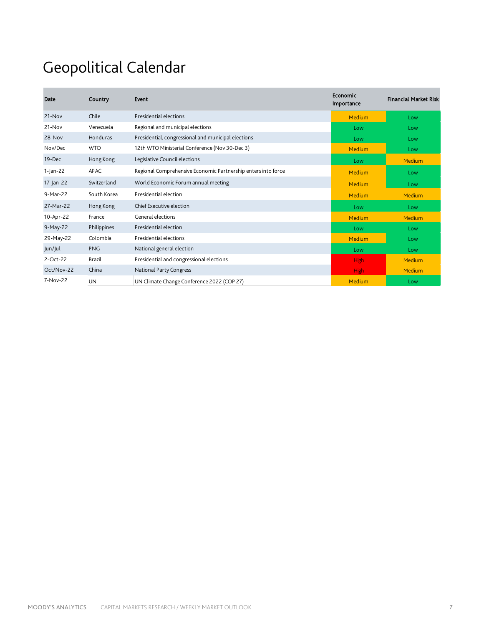# Geopolitical Calendar

| Date         | Country       | Event                                                         | <b>Economic</b><br>Importance | <b>Financial Market Risk</b> |
|--------------|---------------|---------------------------------------------------------------|-------------------------------|------------------------------|
| 21-Nov       | Chile         | Presidential elections                                        | Medium                        | Low                          |
| $21-Nov$     | Venezuela     | Regional and municipal elections                              | Low                           | Low                          |
| 28-Nov       | Honduras      | Presidential, congressional and municipal elections           | Low                           | Low                          |
| Nov/Dec      | <b>WTO</b>    | 12th WTO Ministerial Conference (Nov 30-Dec 3)                | Medium                        | Low                          |
| 19-Dec       | Hong Kong     | Legislative Council elections                                 | Low                           | <b>Medium</b>                |
| 1-Jan-22     | <b>APAC</b>   | Regional Comprehensive Economic Partnership enters into force | Medium                        | Low                          |
| $17$ -Jan-22 | Switzerland   | World Economic Forum annual meeting                           | Medium                        | Low                          |
| 9-Mar-22     | South Korea   | Presidential election                                         | Medium                        | <b>Medium</b>                |
| 27-Mar-22    | Hong Kong     | Chief Executive election                                      | Low                           | Low                          |
| 10-Apr-22    | France        | General elections                                             | Medium                        | <b>Medium</b>                |
| 9-May-22     | Philippines   | Presidential election                                         | Low                           | Low                          |
| 29-May-22    | Colombia      | Presidential elections                                        | Medium                        | Low                          |
| Jun/Jul      | <b>PNG</b>    | National general election                                     | Low                           | Low                          |
| 2-Oct-22     | <b>Brazil</b> | Presidential and congressional elections                      | <b>High</b>                   | <b>Medium</b>                |
| Oct/Nov-22   | China         | National Party Congress                                       | <b>High</b>                   | <b>Medium</b>                |
| 7-Nov-22     | UN            | UN Climate Change Conference 2022 (COP 27)                    | Medium                        | Low                          |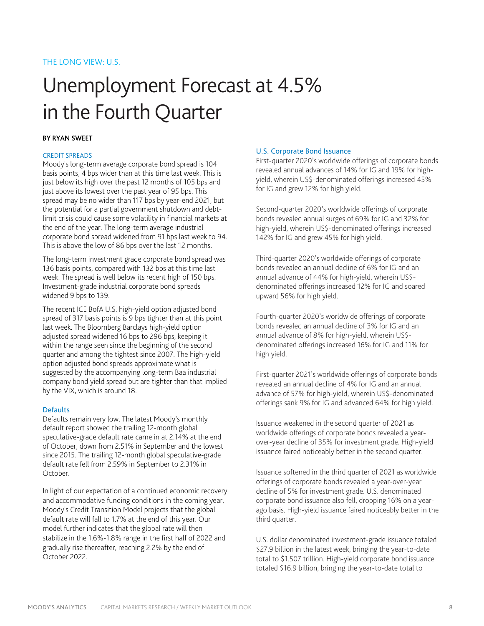# Unemployment Forecast at 4.5% in the Fourth Quarter

#### BY RYAN SWEET

#### CREDIT SPREADS

Moody's long-term average corporate bond spread is 104 basis points, 4 bps wider than at this time last week. This is just below its high over the past 12 months of 105 bps and just above its lowest over the past year of 95 bps. This spread may be no wider than 117 bps by year-end 2021, but the potential for a partial government shutdown and debtlimit crisis could cause some volatility in financial markets at the end of the year. The long-term average industrial corporate bond spread widened from 91 bps last week to 94. This is above the low of 86 bps over the last 12 months.

The long-term investment grade corporate bond spread was 136 basis points, compared with 132 bps at this time last week. The spread is well below its recent high of 150 bps. Investment-grade industrial corporate bond spreads widened 9 bps to 139.

The recent ICE BofA U.S. high-yield option adjusted bond spread of 317 basis points is 9 bps tighter than at this point last week. The Bloomberg Barclays high-yield option adjusted spread widened 16 bps to 296 bps, keeping it within the range seen since the beginning of the second quarter and among the tightest since 2007. The high-yield option adjusted bond spreads approximate what is suggested by the accompanying long-term Baa industrial company bond yield spread but are tighter than that implied by the VIX, which is around 18.

#### **Defaults**

Defaults remain very low. The latest Moody's monthly default report showed the trailing 12-month global speculative-grade default rate came in at 2.14% at the end of October, down from 2.51% in September and the lowest since 2015. The trailing 12-month global speculative-grade default rate fell from 2.59% in September to 2.31% in October.

In light of our expectation of a continued economic recovery and accommodative funding conditions in the coming year, Moody's Credit Transition Model projects that the global default rate will fall to 1.7% at the end of this year. Our model further indicates that the global rate will then stabilize in the 1.6%-1.8% range in the first half of 2022 and gradually rise thereafter, reaching 2.2% by the end of October 2022.

#### U.S. Corporate Bond Issuance

First-quarter 2020's worldwide offerings of corporate bonds revealed annual advances of 14% for IG and 19% for highyield, wherein US\$-denominated offerings increased 45% for IG and grew 12% for high yield.

Second-quarter 2020's worldwide offerings of corporate bonds revealed annual surges of 69% for IG and 32% for high-yield, wherein US\$-denominated offerings increased 142% for IG and grew 45% for high yield.

Third-quarter 2020's worldwide offerings of corporate bonds revealed an annual decline of 6% for IG and an annual advance of 44% for high-yield, wherein US\$ denominated offerings increased 12% for IG and soared upward 56% for high yield.

Fourth-quarter 2020's worldwide offerings of corporate bonds revealed an annual decline of 3% for IG and an annual advance of 8% for high-yield, wherein US\$ denominated offerings increased 16% for IG and 11% for high yield.

First-quarter 2021's worldwide offerings of corporate bonds revealed an annual decline of 4% for IG and an annual advance of 57% for high-yield, wherein US\$-denominated offerings sank 9% for IG and advanced 64% for high yield.

Issuance weakened in the second quarter of 2021 as worldwide offerings of corporate bonds revealed a yearover-year decline of 35% for investment grade. High-yield issuance faired noticeably better in the second quarter.

Issuance softened in the third quarter of 2021 as worldwide offerings of corporate bonds revealed a year-over-year decline of 5% for investment grade. U.S. denominated corporate bond issuance also fell, dropping 16% on a yearago basis. High-yield issuance faired noticeably better in the third quarter.

U.S. dollar denominated investment-grade issuance totaled \$27.9 billion in the latest week, bringing the year-to-date total to \$1.507 trillion. High-yield corporate bond issuance totaled \$16.9 billion, bringing the year-to-date total to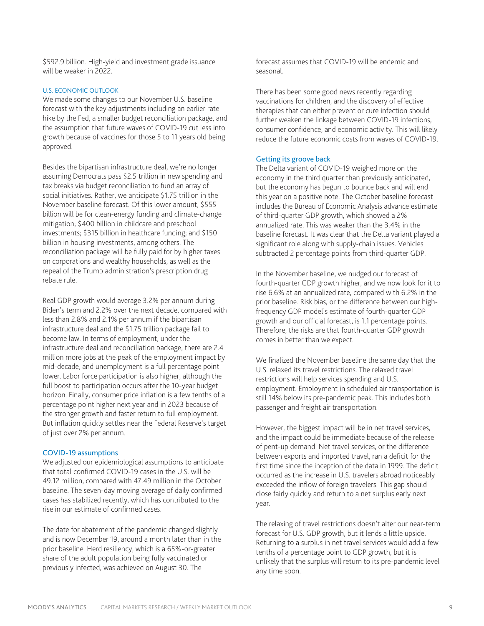\$592.9 billion. High-yield and investment grade issuance will be weaker in 2022.

#### U.S. ECONOMIC OUTLOOK

We made some changes to our November U.S. baseline forecast with the key adjustments including an earlier rate hike by the Fed, a smaller budget reconciliation package, and the assumption that future waves of COVID-19 cut less into growth because of vaccines for those 5 to 11 years old being approved.

Besides the bipartisan infrastructure deal, we're no longer assuming Democrats pass \$2.5 trillion in new spending and tax breaks via budget reconciliation to fund an array of social initiatives. Rather, we anticipate \$1.75 trillion in the November baseline forecast. Of this lower amount, \$555 billion will be for clean-energy funding and climate-change mitigation; \$400 billion in childcare and preschool investments; \$315 billion in healthcare funding; and \$150 billion in housing investments, among others. The reconciliation package will be fully paid for by higher taxes on corporations and wealthy households, as well as the repeal of the Trump administration's prescription drug rebate rule.

Real GDP growth would average 3.2% per annum during Biden's term and 2.2% over the next decade, compared with less than 2.8% and 2.1% per annum if the bipartisan infrastructure deal and the \$1.75 trillion package fail to become law. In terms of employment, under the infrastructure deal and reconciliation package, there are 2.4 million more jobs at the peak of the employment impact by mid-decade, and unemployment is a full percentage point lower. Labor force participation is also higher, although the full boost to participation occurs after the 10-year budget horizon. Finally, consumer price inflation is a few tenths of a percentage point higher next year and in 2023 because of the stronger growth and faster return to full employment. But inflation quickly settles near the Federal Reserve's target of just over 2% per annum.

#### COVID-19 assumptions

We adjusted our epidemiological assumptions to anticipate that total confirmed COVID-19 cases in the U.S. will be 49.12 million, compared with 47.49 million in the October baseline. The seven-day moving average of daily confirmed cases has stabilized recently, which has contributed to the rise in our estimate of confirmed cases.

The date for abatement of the pandemic changed slightly and is now December 19, around a month later than in the prior baseline. Herd resiliency, which is a 65%-or-greater share of the adult population being fully vaccinated or previously infected, was achieved on August 30. The

forecast assumes that COVID-19 will be endemic and seasonal.

There has been some good news recently regarding vaccinations for children, and the discovery of effective therapies that can either prevent or cure infection should further weaken the linkage between COVID-19 infections, consumer confidence, and economic activity. This will likely reduce the future economic costs from waves of COVID-19.

#### Getting its groove back

The Delta variant of COVID-19 weighed more on the economy in the third quarter than previously anticipated, but the economy has begun to bounce back and will end this year on a positive note. The October baseline forecast includes the Bureau of Economic Analysis advance estimate of third-quarter GDP growth, which showed a 2% annualized rate. This was weaker than the 3.4% in the baseline forecast. It was clear that the Delta variant played a significant role along with supply-chain issues. Vehicles subtracted 2 percentage points from third-quarter GDP.

In the November baseline, we nudged our forecast of fourth-quarter GDP growth higher, and we now look for it to rise 6.6% at an annualized rate, compared with 6.2% in the prior baseline. Risk bias, or the difference between our highfrequency GDP model's estimate of fourth-quarter GDP growth and our official forecast, is 1.1 percentage points. Therefore, the risks are that fourth-quarter GDP growth comes in better than we expect.

We finalized the November baseline the same day that the U.S. relaxed its travel restrictions. The relaxed travel restrictions will help services spending and U.S. employment. Employment in scheduled air transportation is still 14% below its pre-pandemic peak. This includes both passenger and freight air transportation.

However, the biggest impact will be in net travel services, and the impact could be immediate because of the release of pent-up demand. Net travel services, or the difference between exports and imported travel, ran a deficit for the first time since the inception of the data in 1999. The deficit occurred as the increase in U.S. travelers abroad noticeably exceeded the inflow of foreign travelers. This gap should close fairly quickly and return to a net surplus early next year.

The relaxing of travel restrictions doesn't alter our near-term forecast for U.S. GDP growth, but it lends a little upside. Returning to a surplus in net travel services would add a few tenths of a percentage point to GDP growth, but it is unlikely that the surplus will return to its pre-pandemic level any time soon.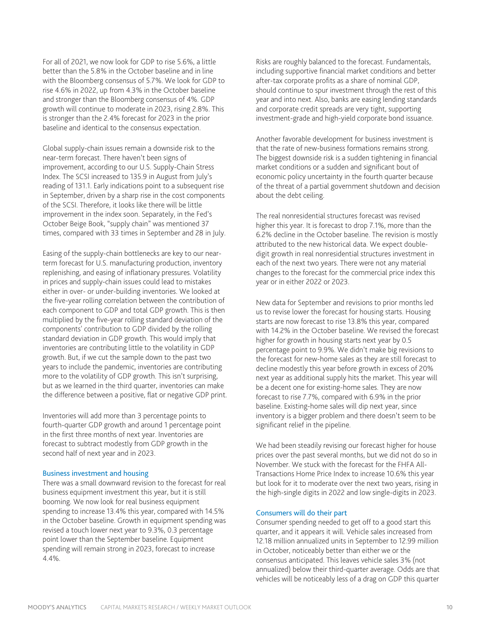For all of 2021, we now look for GDP to rise 5.6%, a little better than the 5.8% in the October baseline and in line with the Bloomberg consensus of 5.7%. We look for GDP to rise 4.6% in 2022, up from 4.3% in the October baseline and stronger than the Bloomberg consensus of 4%. GDP growth will continue to moderate in 2023, rising 2.8%. This is stronger than the 2.4% forecast for 2023 in the prior baseline and identical to the consensus expectation.

Global supply-chain issues remain a downside risk to the near-term forecast. There haven't been signs of improvement, according to our U.S. Supply-Chain Stress Index. The SCSI increased to 135.9 in August from July's reading of 131.1. Early indications point to a subsequent rise in September, driven by a sharp rise in the cost components of the SCSI. Therefore, it looks like there will be little improvement in the index soon. Separately, in the Fed's October Beige Book, "supply chain" was mentioned 37 times, compared with 33 times in September and 28 in July.

Easing of the supply-chain bottlenecks are key to our nearterm forecast for U.S. manufacturing production, inventory replenishing, and easing of inflationary pressures. Volatility in prices and supply-chain issues could lead to mistakes either in over- or under-building inventories. We looked at the five-year rolling correlation between the contribution of each component to GDP and total GDP growth. This is then multiplied by the five-year rolling standard deviation of the components' contribution to GDP divided by the rolling standard deviation in GDP growth. This would imply that inventories are contributing little to the volatility in GDP growth. But, if we cut the sample down to the past two years to include the pandemic, inventories are contributing more to the volatility of GDP growth. This isn't surprising, but as we learned in the third quarter, inventories can make the difference between a positive, flat or negative GDP print.

Inventories will add more than 3 percentage points to fourth-quarter GDP growth and around 1 percentage point in the first three months of next year. Inventories are forecast to subtract modestly from GDP growth in the second half of next year and in 2023.

#### Business investment and housing

There was a small downward revision to the forecast for real business equipment investment this year, but it is still booming. We now look for real business equipment spending to increase 13.4% this year, compared with 14.5% in the October baseline. Growth in equipment spending was revised a touch lower next year to 9.3%, 0.3 percentage point lower than the September baseline. Equipment spending will remain strong in 2023, forecast to increase 4.4%.

Risks are roughly balanced to the forecast. Fundamentals, including supportive financial market conditions and better after-tax corporate profits as a share of nominal GDP, should continue to spur investment through the rest of this year and into next. Also, banks are easing lending standards and corporate credit spreads are very tight, supporting investment-grade and high-yield corporate bond issuance.

Another favorable development for business investment is that the rate of new-business formations remains strong. The biggest downside risk is a sudden tightening in financial market conditions or a sudden and significant bout of economic policy uncertainty in the fourth quarter because of the threat of a partial government shutdown and decision about the debt ceiling.

The real nonresidential structures forecast was revised higher this year. It is forecast to drop 7.1%, more than the 6.2% decline in the October baseline. The revision is mostly attributed to the new historical data. We expect doubledigit growth in real nonresidential structures investment in each of the next two years. There were not any material changes to the forecast for the commercial price index this year or in either 2022 or 2023.

New data for September and revisions to prior months led us to revise lower the forecast for housing starts. Housing starts are now forecast to rise 13.8% this year, compared with 14.2% in the October baseline. We revised the forecast higher for growth in housing starts next year by 0.5 percentage point to 9.9%. We didn't make big revisions to the forecast for new-home sales as they are still forecast to decline modestly this year before growth in excess of 20% next year as additional supply hits the market. This year will be a decent one for existing-home sales. They are now forecast to rise 7.7%, compared with 6.9% in the prior baseline. Existing-home sales will dip next year, since inventory is a bigger problem and there doesn't seem to be significant relief in the pipeline.

We had been steadily revising our forecast higher for house prices over the past several months, but we did not do so in November. We stuck with the forecast for the FHFA All-Transactions Home Price Index to increase 10.6% this year but look for it to moderate over the next two years, rising in the high-single digits in 2022 and low single-digits in 2023.

#### Consumers will do their part

Consumer spending needed to get off to a good start this quarter, and it appears it will. Vehicle sales increased from 12.18 million annualized units in September to 12.99 million in October, noticeably better than either we or the consensus anticipated. This leaves vehicle sales 3% (not annualized) below their third-quarter average. Odds are that vehicles will be noticeably less of a drag on GDP this quarter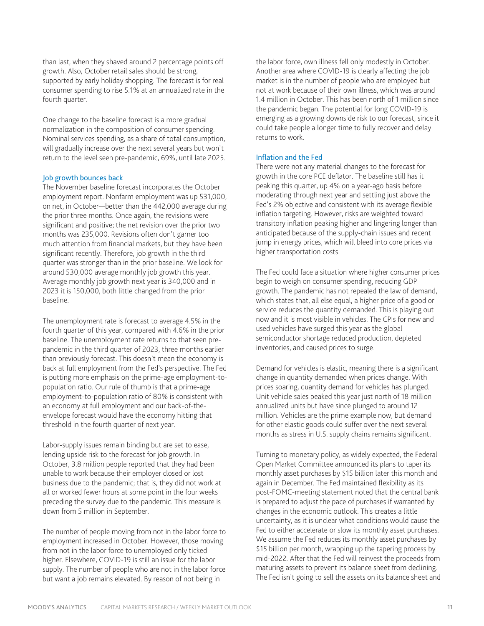than last, when they shaved around 2 percentage points off growth. Also, October retail sales should be strong, supported by early holiday shopping. The forecast is for real consumer spending to rise 5.1% at an annualized rate in the fourth quarter.

One change to the baseline forecast is a more gradual normalization in the composition of consumer spending. Nominal services spending, as a share of total consumption, will gradually increase over the next several years but won't return to the level seen pre-pandemic, 69%, until late 2025.

#### Job growth bounces back

The November baseline forecast incorporates the October employment report. Nonfarm employment was up 531,000, on net, in October—better than the 442,000 average during the prior three months. Once again, the revisions were significant and positive; the net revision over the prior two months was 235,000. Revisions often don't garner too much attention from financial markets, but they have been significant recently. Therefore, job growth in the third quarter was stronger than in the prior baseline. We look for around 530,000 average monthly job growth this year. Average monthly job growth next year is 340,000 and in 2023 it is 150,000, both little changed from the prior baseline.

The unemployment rate is forecast to average 4.5% in the fourth quarter of this year, compared with 4.6% in the prior baseline. The unemployment rate returns to that seen prepandemic in the third quarter of 2023, three months earlier than previously forecast. This doesn't mean the economy is back at full employment from the Fed's perspective. The Fed is putting more emphasis on the prime-age employment-topopulation ratio. Our rule of thumb is that a prime-age employment-to-population ratio of 80% is consistent with an economy at full employment and our back-of-theenvelope forecast would have the economy hitting that threshold in the fourth quarter of next year.

Labor-supply issues remain binding but are set to ease, lending upside risk to the forecast for job growth. In October, 3.8 million people reported that they had been unable to work because their employer closed or lost business due to the pandemic; that is, they did not work at all or worked fewer hours at some point in the four weeks preceding the survey due to the pandemic. This measure is down from 5 million in September.

The number of people moving from not in the labor force to employment increased in October. However, those moving from not in the labor force to unemployed only ticked higher. Elsewhere, COVID-19 is still an issue for the labor supply. The number of people who are not in the labor force but want a job remains elevated. By reason of not being in

the labor force, own illness fell only modestly in October. Another area where COVID-19 is clearly affecting the job market is in the number of people who are employed but not at work because of their own illness, which was around 1.4 million in October. This has been north of 1 million since the pandemic began. The potential for long COVID-19 is emerging as a growing downside risk to our forecast, since it could take people a longer time to fully recover and delay returns to work.

#### Inflation and the Fed

There were not any material changes to the forecast for growth in the core PCE deflator. The baseline still has it peaking this quarter, up 4% on a year-ago basis before moderating through next year and settling just above the Fed's 2% objective and consistent with its average flexible inflation targeting. However, risks are weighted toward transitory inflation peaking higher and lingering longer than anticipated because of the supply-chain issues and recent jump in energy prices, which will bleed into core prices via higher transportation costs.

The Fed could face a situation where higher consumer prices begin to weigh on consumer spending, reducing GDP growth. The pandemic has not repealed the law of demand, which states that, all else equal, a higher price of a good or service reduces the quantity demanded. This is playing out now and it is most visible in vehicles. The CPIs for new and used vehicles have surged this year as the global semiconductor shortage reduced production, depleted inventories, and caused prices to surge.

Demand for vehicles is elastic, meaning there is a significant change in quantity demanded when prices change. With prices soaring, quantity demand for vehicles has plunged. Unit vehicle sales peaked this year just north of 18 million annualized units but have since plunged to around 12 million. Vehicles are the prime example now, but demand for other elastic goods could suffer over the next several months as stress in U.S. supply chains remains significant.

Turning to monetary policy, as widely expected, the Federal Open Market Committee announced its plans to taper its monthly asset purchases by \$15 billion later this month and again in December. The Fed maintained flexibility as its post-FOMC-meeting statement noted that the central bank is prepared to adjust the pace of purchases if warranted by changes in the economic outlook. This creates a little uncertainty, as it is unclear what conditions would cause the Fed to either accelerate or slow its monthly asset purchases. We assume the Fed reduces its monthly asset purchases by \$15 billion per month, wrapping up the tapering process by mid-2022. After that the Fed will reinvest the proceeds from maturing assets to prevent its balance sheet from declining. The Fed isn't going to sell the assets on its balance sheet and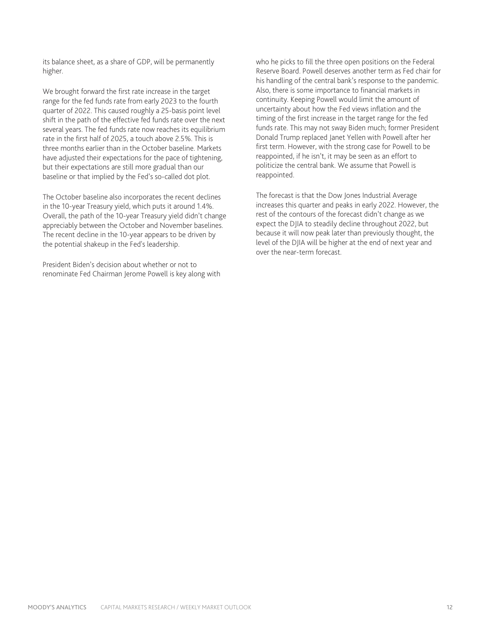its balance sheet, as a share of GDP, will be permanently higher.

We brought forward the first rate increase in the target range for the fed funds rate from early 2023 to the fourth quarter of 2022. This caused roughly a 25-basis point level shift in the path of the effective fed funds rate over the next several years. The fed funds rate now reaches its equilibrium rate in the first half of 2025, a touch above 2.5%. This is three months earlier than in the October baseline. Markets have adjusted their expectations for the pace of tightening, but their expectations are still more gradual than our baseline or that implied by the Fed's so-called dot plot.

The October baseline also incorporates the recent declines in the 10-year Treasury yield, which puts it around 1.4%. Overall, the path of the 10-year Treasury yield didn't change appreciably between the October and November baselines. The recent decline in the 10-year appears to be driven by the potential shakeup in the Fed's leadership.

President Biden's decision about whether or not to renominate Fed Chairman Jerome Powell is key along with who he picks to fill the three open positions on the Federal Reserve Board. Powell deserves another term as Fed chair for his handling of the central bank's response to the pandemic. Also, there is some importance to financial markets in continuity. Keeping Powell would limit the amount of uncertainty about how the Fed views inflation and the timing of the first increase in the target range for the fed funds rate. This may not sway Biden much; former President Donald Trump replaced Janet Yellen with Powell after her first term. However, with the strong case for Powell to be reappointed, if he isn't, it may be seen as an effort to politicize the central bank. We assume that Powell is reappointed.

The forecast is that the Dow Jones Industrial Average increases this quarter and peaks in early 2022. However, the rest of the contours of the forecast didn't change as we expect the DJIA to steadily decline throughout 2022, but because it will now peak later than previously thought, the level of the DJIA will be higher at the end of next year and over the near-term forecast.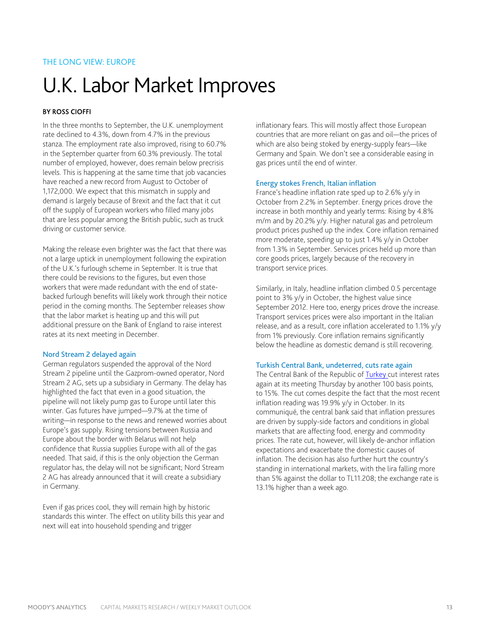# THE LONG VIEW: EUROPE

# U.K. Labor Market Improves

### BY ROSS CIOFFI

In the three months to September, the U.K. unemployment rate declined to 4.3%, down from 4.7% in the previous stanza. The employment rate also improved, rising to 60.7% in the September quarter from 60.3% previously. The total number of employed, however, does remain below precrisis levels. This is happening at the same time that job vacancies have reached a new record from August to October of 1,172,000. We expect that this mismatch in supply and demand is largely because of Brexit and the fact that it cut off the supply of European workers who filled many jobs that are less popular among the British public, such as truck driving or customer service.

Making the release even brighter was the fact that there was not a large uptick in unemployment following the expiration of the U.K.'s furlough scheme in September. It is true that there could be revisions to the figures, but even those workers that were made redundant with the end of statebacked furlough benefits will likely work through their notice period in the coming months. The September releases show that the labor market is heating up and this will put additional pressure on the Bank of England to raise interest rates at its next meeting in December.

#### Nord Stream 2 delayed again

German regulators suspended the approval of the Nord Stream 2 pipeline until the Gazprom-owned operator, Nord Stream 2 AG, sets up a subsidiary in Germany. The delay has highlighted the fact that even in a good situation, the pipeline will not likely pump gas to Europe until later this winter. Gas futures have jumped—9.7% at the time of writing—in response to the news and renewed worries about Europe's gas supply. Rising tensions between Russia and Europe about the border with Belarus will not help confidence that Russia supplies Europe with all of the gas needed. That said, if this is the only objection the German regulator has, the delay will not be significant; Nord Stream 2 AG has already announced that it will create a subsidiary in Germany.

Even if gas prices cool, they will remain high by historic standards this winter. The effect on utility bills this year and next will eat into household spending and trigger

inflationary fears. This will mostly affect those European countries that are more reliant on gas and oil—the prices of which are also being stoked by energy-supply fears—like Germany and Spain. We don't see a considerable easing in gas prices until the end of winter.

#### Energy stokes French, Italian inflation

France's headline inflation rate sped up to 2.6% y/y in October from 2.2% in September. Energy prices drove the increase in both monthly and yearly terms: Rising by 4.8% m/m and by 20.2% y/y. Higher natural gas and petroleum product prices pushed up the index. Core inflation remained more moderate, speeding up to just 1.4% y/y in October from 1.3% in September. Services prices held up more than core goods prices, largely because of the recovery in transport service prices.

Similarly, in Italy, headline inflation climbed 0.5 percentage point to 3% y/y in October, the highest value since September 2012. Here too, energy prices drove the increase. Transport services prices were also important in the Italian release, and as a result, core inflation accelerated to 1.1% y/y from 1% previously. Core inflation remains significantly below the headline as domestic demand is still recovering.

#### Turkish Central Bank, undeterred, cuts rate again

The Central Bank of the Republic of [Turkey](https://www.economy.com/economicview/geography/ITUR) cut interest rates again at its meeting Thursday by another 100 basis points, to 15%. The cut comes despite the fact that the most recent inflation reading was 19.9% y/y in October. In its communiqué, the central bank said that inflation pressures are driven by supply-side factors and conditions in global markets that are affecting food, energy and commodity prices. The rate cut, however, will likely de-anchor inflation expectations and exacerbate the domestic causes of inflation. The decision has also further hurt the country's standing in international markets, with the lira falling more than 5% against the dollar to TL11.208; the exchange rate is 13.1% higher than a week ago.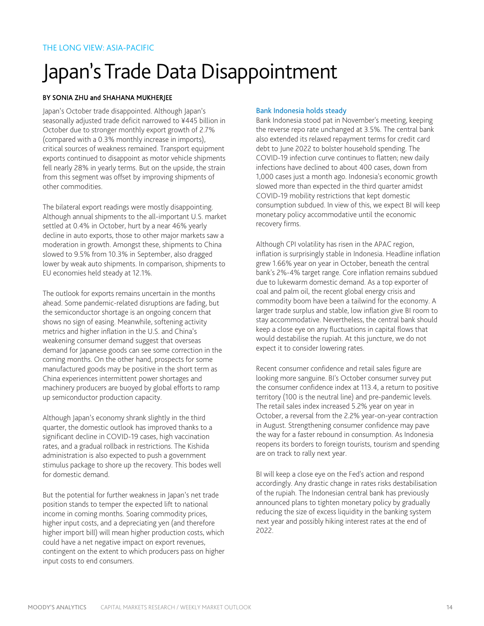# Japan's Trade Data Disappointment

### BY SONIA ZHU and SHAHANA MUKHERJEE

Japan's October trade disappointed. Although Japan's seasonally adjusted trade deficit narrowed to ¥445 billion in October due to stronger monthly export growth of 2.7% (compared with a 0.3% monthly increase in imports), critical sources of weakness remained. Transport equipment exports continued to disappoint as motor vehicle shipments fell nearly 28% in yearly terms. But on the upside, the strain from this segment was offset by improving shipments of other commodities.

The bilateral export readings were mostly disappointing. Although annual shipments to the all-important U.S. market settled at 0.4% in October, hurt by a near 46% yearly decline in auto exports, those to other major markets saw a moderation in growth. Amongst these, shipments to China slowed to 9.5% from 10.3% in September, also dragged lower by weak auto shipments. In comparison, shipments to EU economies held steady at 12.1%.

The outlook for exports remains uncertain in the months ahead. Some pandemic-related disruptions are fading, but the semiconductor shortage is an ongoing concern that shows no sign of easing. Meanwhile, softening activity metrics and higher inflation in the U.S. and China's weakening consumer demand suggest that overseas demand for Japanese goods can see some correction in the coming months. On the other hand, prospects for some manufactured goods may be positive in the short term as China experiences intermittent power shortages and machinery producers are buoyed by global efforts to ramp up semiconductor production capacity.

Although Japan's economy shrank slightly in the third quarter, the domestic outlook has improved thanks to a significant decline in COVID-19 cases, high vaccination rates, and a gradual rollback in restrictions. The Kishida administration is also expected to push a government stimulus package to shore up the recovery. This bodes well for domestic demand.

But the potential for further weakness in Japan's net trade position stands to temper the expected lift to national income in coming months. Soaring commodity prices, higher input costs, and a depreciating yen (and therefore higher import bill) will mean higher production costs, which could have a net negative impact on export revenues, contingent on the extent to which producers pass on higher input costs to end consumers.

### Bank Indonesia holds steady

Bank Indonesia stood pat in November's meeting, keeping the reverse repo rate unchanged at 3.5%. The central bank also extended its relaxed repayment terms for credit card debt to June 2022 to bolster household spending. The COVID-19 infection curve continues to flatten; new daily infections have declined to about 400 cases, down from 1,000 cases just a month ago. Indonesia's economic growth slowed more than expected in the third quarter amidst COVID-19 mobility restrictions that kept domestic consumption subdued. In view of this, we expect BI will keep monetary policy accommodative until the economic recovery firms.

Although CPI volatility has risen in the APAC region, inflation is surprisingly stable in Indonesia. Headline inflation grew 1.66% year on year in October, beneath the central bank's 2%-4% target range. Core inflation remains subdued due to lukewarm domestic demand. As a top exporter of coal and palm oil, the recent global energy crisis and commodity boom have been a tailwind for the economy. A larger trade surplus and stable, low inflation give BI room to stay accommodative. Nevertheless, the central bank should keep a close eye on any fluctuations in capital flows that would destabilise the rupiah. At this juncture, we do not expect it to consider lowering rates.

Recent consumer confidence and retail sales figure are looking more sanguine. BI's October consumer survey put the consumer confidence index at 113.4, a return to positive territory (100 is the neutral line) and pre-pandemic levels. The retail sales index increased 5.2% year on year in October, a reversal from the 2.2% year-on-year contraction in August. Strengthening consumer confidence may pave the way for a faster rebound in consumption. As Indonesia reopens its borders to foreign tourists, tourism and spending are on track to rally next year.

BI will keep a close eye on the Fed's action and respond accordingly. Any drastic change in rates risks destabilisation of the rupiah. The Indonesian central bank has previously announced plans to tighten monetary policy by gradually reducing the size of excess liquidity in the banking system next year and possibly hiking interest rates at the end of 2022.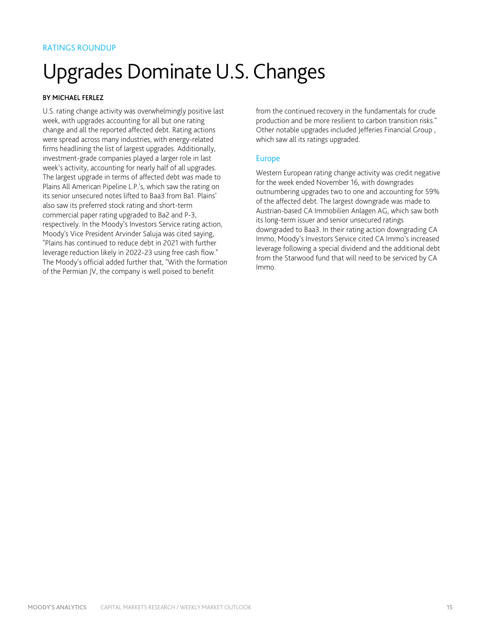# Upgrades Dominate U.S. Changes

# BY MICHAEL FERLEZ

U.S. rating change activity was overwhelmingly positive last week, with upgrades accounting for all but one rating change and all the reported affected debt. Rating actions were spread across many industries, with energy-related firms headlining the list of largest upgrades. Additionally, investment-grade companies played a larger role in last week's activity, accounting for nearly half of all upgrades. The largest upgrade in terms of affected debt was made to Plains All American Pipeline L.P.'s, which saw the rating on its senior unsecured notes lifted to Baa3 from Ba1. Plains' also saw its preferred stock rating and short-term commercial paper rating upgraded to Ba2 and P-3, respectively. In the Moody's Investors Service rating action, Moody's Vice President Arvinder Saluja was cited saying, "Plains has continued to reduce debt in 2021 with further leverage reduction likely in 2022-23 using free cash flow." The Moody's official added further that, "With the formation of the Permian JV, the company is well poised to benefit

from the continued recovery in the fundamentals for crude production and be more resilient to carbon transition risks." Other notable upgrades included Jefferies Financial Group , which saw all its ratings upgraded.

# Europe

Western European rating change activity was credit negative for the week ended November 16, with downgrades outnumbering upgrades two to one and accounting for 59% of the affected debt. The largest downgrade was made to Austrian-based CA Immobilien Anlagen AG, which saw both its long-term issuer and senior unsecured ratings downgraded to Baa3. In their rating action downgrading CA Immo, Moody's Investors Service cited CA Immo's increased leverage following a special dividend and the additional debt from the Starwood fund that will need to be serviced by CA Immo.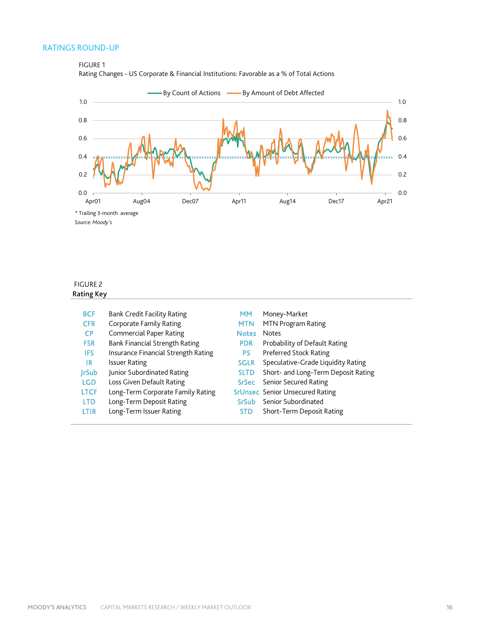# RATINGS ROUND-UP

FIGURE 1





# FIGURE 2 Rating Key

| <b>BCF</b>  | Bank Credit Facility Rating         | мм           | Money-Market                           |
|-------------|-------------------------------------|--------------|----------------------------------------|
| <b>CFR</b>  | Corporate Family Rating             | <b>MTN</b>   | MTN Program Rating                     |
| <b>CP</b>   | <b>Commercial Paper Rating</b>      | <b>Notes</b> | <b>Notes</b>                           |
| <b>FSR</b>  | Bank Financial Strength Rating      | <b>PDR</b>   | Probability of Default Rating          |
| <b>IFS</b>  | Insurance Financial Strength Rating | PS           | Preferred Stock Rating                 |
| IR          | <b>Issuer Rating</b>                | <b>SGLR</b>  | Speculative-Grade Liquidity Rating     |
| JrSub       | Junior Subordinated Rating          | <b>SLTD</b>  | Short- and Long-Term Deposit Rating    |
| <b>LGD</b>  | Loss Given Default Rating           | SrSec        | Senior Secured Rating                  |
| <b>LTCF</b> | Long-Term Corporate Family Rating   |              | <b>SrUnsec</b> Senior Unsecured Rating |
| <b>LTD</b>  | Long-Term Deposit Rating            | <b>SrSub</b> | Senior Subordinated                    |
| LTIR        | Long-Term Issuer Rating             | <b>STD</b>   | Short-Term Deposit Rating              |
|             |                                     |              |                                        |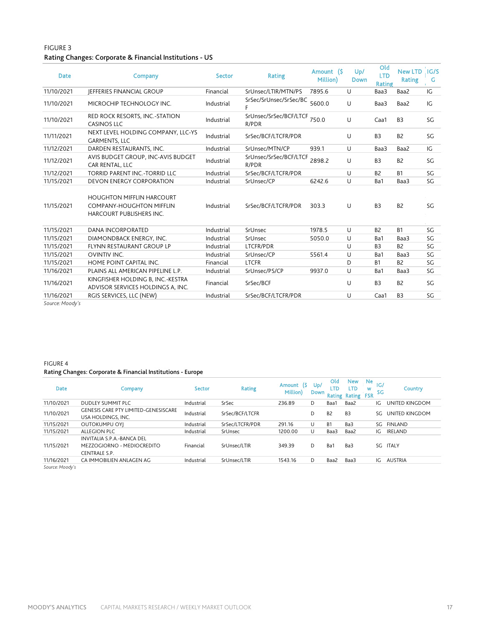### FIGURE 3 Rating Changes: Corporate & Financial Institutions - US

| <b>Date</b>     | Company                                                                                                | <b>Sector</b> | Rating                          | Amount (\$<br>Million) | Up/<br><b>Down</b> | Old<br><b>LTD</b><br>Rating | <b>New LTD</b><br><b>Rating</b> | IG/S<br>G |
|-----------------|--------------------------------------------------------------------------------------------------------|---------------|---------------------------------|------------------------|--------------------|-----------------------------|---------------------------------|-----------|
| 11/10/2021      | <b>IEFFERIES FINANCIAL GROUP</b>                                                                       | Financial     | SrUnsec/LTIR/MTN/PS             | 7895.6                 | U                  | Baa3                        | Baa2                            | IG        |
| 11/10/2021      | MICROCHIP TECHNOLOGY INC.                                                                              | Industrial    | SrSec/SrUnsec/SrSec/BC          | 5600.0                 | U                  | Baa3                        | Baa2                            | IG        |
| 11/10/2021      | RED ROCK RESORTS, INC.-STATION<br><b>CASINOS LLC</b>                                                   | Industrial    | SrUnsec/SrSec/BCF/LTCF<br>R/PDR | 750.0                  | U                  | Caa1                        | B <sub>3</sub>                  | SG        |
| 11/11/2021      | NEXT LEVEL HOLDING COMPANY, LLC-YS<br><b>GARMENTS, LLC</b>                                             | Industrial    | SrSec/BCF/LTCFR/PDR             |                        | U                  | B <sub>3</sub>              | B <sub>2</sub>                  | SG        |
| 11/12/2021      | DARDEN RESTAURANTS, INC.                                                                               | Industrial    | SrUnsec/MTN/CP                  | 939.1                  | U                  | Baa3                        | Baa2                            | IG        |
| 11/12/2021      | AVIS BUDGET GROUP, INC-AVIS BUDGET<br>CAR RENTAL, LLC                                                  | Industrial    | SrUnsec/SrSec/BCF/LTCF<br>R/PDR | 2898.2                 | U                  | B <sub>3</sub>              | B <sub>2</sub>                  | SG        |
| 11/12/2021      | TORRID PARENT INC.-TORRID LLC                                                                          | Industrial    | SrSec/BCF/LTCFR/PDR             |                        | U                  | B <sub>2</sub>              | <b>B1</b>                       | SG        |
| 11/15/2021      | <b>DEVON ENERGY CORPORATION</b>                                                                        | Industrial    | SrUnsec/CP                      | 6242.6                 | U                  | Ba1                         | Baa3                            | SG        |
| 11/15/2021      | <b>HOUGHTON MIFFLIN HARCOURT</b><br><b>COMPANY-HOUGHTON MIFFLIN</b><br><b>HARCOURT PUBLISHERS INC.</b> | Industrial    | SrSec/BCF/LTCFR/PDR             | 303.3                  | U                  | B <sub>3</sub>              | B <sub>2</sub>                  | SG        |
| 11/15/2021      | <b>DANA INCORPORATED</b>                                                                               | Industrial    | SrUnsec                         | 1978.5                 | U                  | B <sub>2</sub>              | <b>B1</b>                       | SG        |
| 11/15/2021      | DIAMONDBACK ENERGY, INC.                                                                               | Industrial    | SrUnsec                         | 5050.0                 | U                  | Ba1                         | Baa3                            | SG        |
| 11/15/2021      | FLYNN RESTAURANT GROUP LP                                                                              | Industrial    | LTCFR/PDR                       |                        | U                  | B <sub>3</sub>              | B <sub>2</sub>                  | SG        |
| 11/15/2021      | <b>OVINTIV INC.</b>                                                                                    | Industrial    | SrUnsec/CP                      | 5561.4                 | U                  | Ba1                         | Baa3                            | SG        |
| 11/15/2021      | HOME POINT CAPITAL INC.                                                                                | Financial     | <b>LTCFR</b>                    |                        | D                  | <b>B1</b>                   | B <sub>2</sub>                  | SG        |
| 11/16/2021      | PLAINS ALL AMERICAN PIPELINE L.P.                                                                      | Industrial    | SrUnsec/PS/CP                   | 9937.0                 | U                  | Ba1                         | Baa3                            | SG        |
| 11/16/2021      | KINGFISHER HOLDING B, INC.-KESTRA<br>ADVISOR SERVICES HOLDINGS A, INC.                                 | Financial     | SrSec/BCF                       |                        | U                  | B <sub>3</sub>              | B <sub>2</sub>                  | SG        |
| 11/16/2021      | RGIS SERVICES, LLC (NEW)                                                                               | Industrial    | SrSec/BCF/LTCFR/PDR             |                        | U                  | Caa1                        | B <sub>3</sub>                  | SG        |
| Source: Moody's |                                                                                                        |               |                                 |                        |                    |                             |                                 |           |

# FIGURE 4

### Rating Changes: Corporate & Financial Institutions - Europe

| <b>Date</b>     | Company                                                                   | <b>Sector</b> | <b>Rating</b>   | Amount (\$<br>Million) | $U_D/$<br><b>Down</b> | Old<br>LTD     | <b>New</b><br><b>LTD</b><br>Rating Rating FSR | Ne<br> G <br>w<br><b>SG</b> | Country        |
|-----------------|---------------------------------------------------------------------------|---------------|-----------------|------------------------|-----------------------|----------------|-----------------------------------------------|-----------------------------|----------------|
| 11/10/2021      | DUDLEY SUMMIT PLC                                                         | Industrial    | SrSec           | 236.89                 | D                     | Baa1           | Baa2                                          | IG                          | UNITED KINGDOM |
| 11/10/2021      | <b>GENESIS CARE PTY LIMITED-GENESISCARE</b><br>USA HOLDINGS, INC.         | Industrial    | SrSec/BCF/LTCFR |                        | D                     | B <sub>2</sub> | B <sub>3</sub>                                | SG.                         | UNITED KINGDOM |
| 11/15/2021      | <b>OUTOKUMPU OYI</b>                                                      | Industrial    | SrSec/LTCFR/PDR | 291.16                 | U                     | <b>B1</b>      | Ba3                                           | SG                          | <b>FINLAND</b> |
| 11/15/2021      | <b>ALLEGION PLC</b>                                                       | Industrial    | SrUnsec         | 1200.00                | U                     | Baa3           | Baa2                                          | IG                          | IRELAND        |
| 11/15/2021      | INVITALIA S.P.A.-BANCA DEL<br>MEZZOGIORNO - MEDIOCREDITO<br>CENTRALE S.P. | Financial     | SrUnsec/LTIR    | 349.39                 | D                     | Ba1            | Ba3                                           | SG                          | <b>ITALY</b>   |
| 11/16/2021      | CA IMMOBILIEN ANLAGEN AG                                                  | Industrial    | SrUnsec/LTIR    | 1543.16                | D                     | Baa2           | Baa3                                          | IG                          | <b>AUSTRIA</b> |
| Source: Moody's |                                                                           |               |                 |                        |                       |                |                                               |                             |                |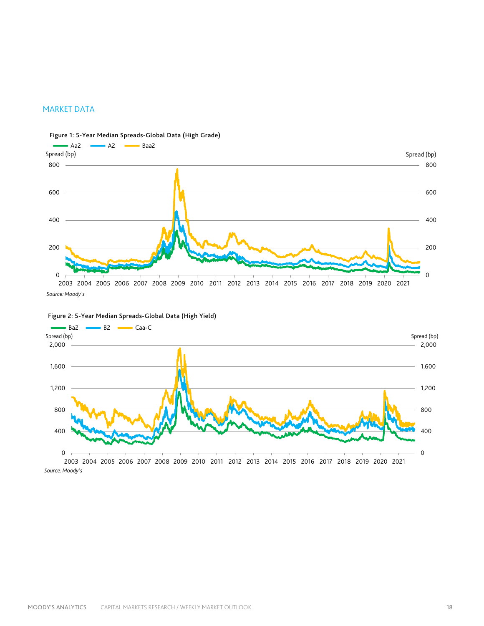### MARKET DATA



Figure 1: 5-Year Median Spreads-Global Data (High Grade)





*Source: Moody's*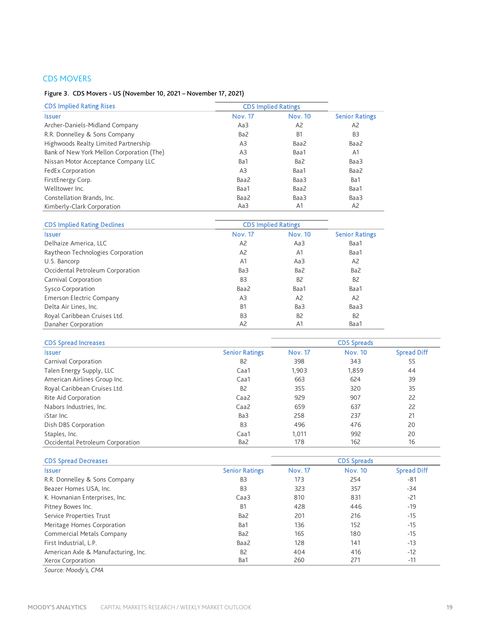# CDS MOVERS

## Figure 3. CDS Movers - US (November 10, 2021 – November 17, 2021)

| <b>CDS Implied Rating Rises</b>           | <b>CDS Implied Ratings</b> |                |                       |
|-------------------------------------------|----------------------------|----------------|-----------------------|
| <b>Issuer</b>                             | <b>Nov. 17</b>             | <b>Nov. 10</b> | <b>Senior Ratings</b> |
| Archer-Daniels-Midland Company            | Aa3                        | A <sub>2</sub> | A <sub>2</sub>        |
| R.R. Donnelley & Sons Company             | Ba2                        | B <sub>1</sub> | B <sub>3</sub>        |
| Highwoods Realty Limited Partnership      | A <sub>3</sub>             | Baa2           | Baa2                  |
| Bank of New York Mellon Corporation (The) | A <sub>3</sub>             | Baa1           | A <sub>1</sub>        |
| Nissan Motor Acceptance Company LLC       | Ba1                        | Ba2            | Baa3                  |
| FedEx Corporation                         | A <sub>3</sub>             | Baa1           | Baa2                  |
| FirstEnergy Corp.                         | Baa2                       | Baa3           | Ba1                   |
| Welltower Inc.                            | Baa1                       | Baa2           | Baa1                  |
| Constellation Brands, Inc.                | Baa2                       | Baa3           | Baa3                  |
| Kimberly-Clark Corporation                | Aa3                        | A <sub>1</sub> | A <sub>2</sub>        |

| <b>CDS Implied Rating Declines</b> | <b>CDS Implied Ratings</b> |                |                       |
|------------------------------------|----------------------------|----------------|-----------------------|
| <b>Issuer</b>                      | <b>Nov. 17</b>             | <b>Nov. 10</b> | <b>Senior Ratings</b> |
| Delhaize America, LLC              | A <sub>2</sub>             | Aa3            | Baa1                  |
| Raytheon Technologies Corporation  | A <sub>2</sub>             | A <sub>1</sub> | Baa1                  |
| U.S. Bancorp                       | A <sub>1</sub>             | Aa3            | A <sub>2</sub>        |
| Occidental Petroleum Corporation   | Ba3                        | Ba2            | Ba2                   |
| Carnival Corporation               | B <sub>3</sub>             | B <sub>2</sub> | B <sub>2</sub>        |
| Sysco Corporation                  | Baa2                       | Baa1           | Baa1                  |
| <b>Emerson Electric Company</b>    | A <sub>3</sub>             | A <sub>2</sub> | A <sub>2</sub>        |
| Delta Air Lines, Inc.              | <b>B1</b>                  | Ba3            | Baa3                  |
| Royal Caribbean Cruises Ltd.       | B <sub>3</sub>             | B <sub>2</sub> | <b>B2</b>             |
| Danaher Corporation                | A <sub>2</sub>             | A <sub>1</sub> | Baa1                  |

| <b>CDS Spread Increases</b><br><b>CDS Spreads</b> |                       |                |                |                    |
|---------------------------------------------------|-----------------------|----------------|----------------|--------------------|
| <b>Issuer</b>                                     | <b>Senior Ratings</b> | <b>Nov. 17</b> | <b>Nov. 10</b> | <b>Spread Diff</b> |
| Carnival Corporation                              | B <sub>2</sub>        | 398            | 343            | 55                 |
| Talen Energy Supply, LLC                          | Caa1                  | 1,903          | 1,859          | 44                 |
| American Airlines Group Inc.                      | Caa1                  | 663            | 624            | 39                 |
| Royal Caribbean Cruises Ltd.                      | B <sub>2</sub>        | 355            | 320            | 35                 |
| Rite Aid Corporation                              | Caa2                  | 929            | 907            | 22                 |
| Nabors Industries, Inc.                           | Caa2                  | 659            | 637            | 22                 |
| iStar Inc.                                        | Ba3                   | 258            | 237            | 21                 |
| Dish DBS Corporation                              | B <sub>3</sub>        | 496            | 476            | 20                 |
| Staples, Inc.                                     | Caa1                  | 1.011          | 992            | 20                 |
| Occidental Petroleum Corporation                  | Ba2                   | 178            | 162            | 16                 |

| <b>CDS Spread Decreases</b>         |                       | <b>CDS Spreads</b> |                |                    |  |
|-------------------------------------|-----------------------|--------------------|----------------|--------------------|--|
| <b>Issuer</b>                       | <b>Senior Ratings</b> | <b>Nov. 17</b>     | <b>Nov. 10</b> | <b>Spread Diff</b> |  |
| R.R. Donnelley & Sons Company       | B <sub>3</sub>        | 173                | 254            | -81                |  |
| Beazer Homes USA, Inc.              | B <sub>3</sub>        | 323                | 357            | $-34$              |  |
| K. Hovnanian Enterprises, Inc.      | Caa3                  | 810                | 831            | $-21$              |  |
| Pitney Bowes Inc.                   | B <sub>1</sub>        | 428                | 446            | $-19$              |  |
| Service Properties Trust            | Ba2                   | 201                | 216            | $-15$              |  |
| Meritage Homes Corporation          | Ba1                   | 136                | 152            | $-15$              |  |
| Commercial Metals Company           | Ba2                   | 165                | 180            | $-15$              |  |
| First Industrial, L.P.              | Baa2                  | 128                | 141            | $-13$              |  |
| American Axle & Manufacturing, Inc. | B <sub>2</sub>        | 404                | 416            | $-12$              |  |
| Xerox Corporation                   | Ba1                   | 260                | 271            | $-11$              |  |

*Source: Moody's, CMA*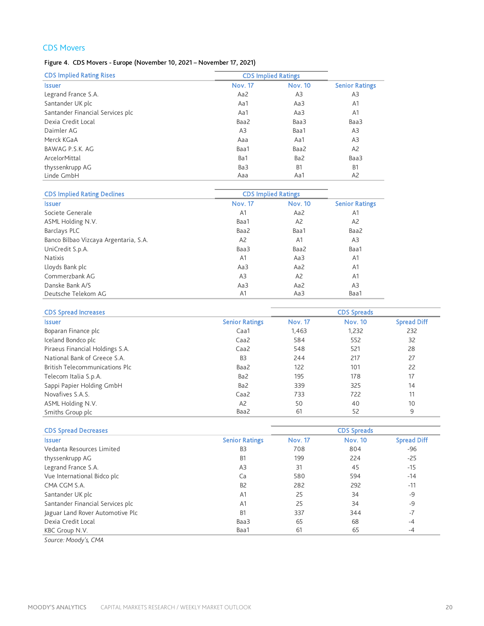# CDS Movers

# Figure 4. CDS Movers - Europe (November 10, 2021 – November 17, 2021)

| <b>CDS Implied Rating Rises</b>  | <b>CDS Implied Ratings</b> |                |                       |
|----------------------------------|----------------------------|----------------|-----------------------|
| <b>Issuer</b>                    | <b>Nov. 17</b>             | <b>Nov. 10</b> | <b>Senior Ratings</b> |
| Legrand France S.A.              | Aa2                        | A3             | A3                    |
| Santander UK plc                 | Aa1                        | Aa3            | A1                    |
| Santander Financial Services plc | Aa1                        | Aa3            | A1                    |
| Dexia Credit Local               | Baa2                       | Baa3           | Baa3                  |
| Daimler AG                       | A3                         | Baa1           | A3                    |
| Merck KGaA                       | Aaa                        | Aa1            | A3                    |
| BAWAG P.S.K. AG                  | Baa1                       | Baa2           | A2                    |
| ArcelorMittal                    | Ba1                        | Ba2            | Baa3                  |
| thyssenkrupp AG                  | Ba3                        | <b>B1</b>      | B <sub>1</sub>        |
| Linde GmbH                       | Aaa                        | Aa1            | A <sub>2</sub>        |

| <b>CDS Implied Rating Declines</b>    | <b>CDS Implied Ratings</b> |                |                       |
|---------------------------------------|----------------------------|----------------|-----------------------|
| <b>Issuer</b>                         | <b>Nov. 17</b>             | <b>Nov. 10</b> | <b>Senior Ratings</b> |
| Societe Generale                      | A1                         | Aa2            | A1                    |
| ASML Holding N.V.                     | Baa1                       | A <sub>2</sub> | A <sub>2</sub>        |
| Barclays PLC                          | Baa2                       | Baa1           | Baa2                  |
| Banco Bilbao Vizcaya Argentaria, S.A. | A2                         | A1             | A3                    |
| UniCredit S.p.A.                      | Baa3                       | Baa2           | Baa1                  |
| <b>Natixis</b>                        | A <sub>1</sub>             | Aa3            | A <sub>1</sub>        |
| Lloyds Bank plc                       | Aa3                        | Aa2            | A <sub>1</sub>        |
| Commerzbank AG                        | A <sub>3</sub>             | A <sub>2</sub> | A <sub>1</sub>        |
| Danske Bank A/S                       | Aa3                        | Aa2            | A <sub>3</sub>        |
| Deutsche Telekom AG                   | A1                         | Aa3            | Baa1                  |

| <b>CDS Spread Increases</b>     |                       |                | <b>CDS Spreads</b> |                    |
|---------------------------------|-----------------------|----------------|--------------------|--------------------|
| <b>Issuer</b>                   | <b>Senior Ratings</b> | <b>Nov. 17</b> | <b>Nov. 10</b>     | <b>Spread Diff</b> |
| Boparan Finance plc             | Caa1                  | 1.463          | 1,232              | 232                |
| Iceland Bondco plc              | Caa <sub>2</sub>      | 584            | 552                | 32                 |
| Piraeus Financial Holdings S.A. | Caa <sub>2</sub>      | 548            | 521                | 28                 |
| National Bank of Greece S.A.    | B <sub>3</sub>        | 244            | 217                | 27                 |
| British Telecommunications Plc  | Baa2                  | 122            | 101                | 22                 |
| Telecom Italia S.p.A.           | Ba2                   | 195            | 178                | 17                 |
| Sappi Papier Holding GmbH       | Ba2                   | 339            | 325                | 14                 |
| Novafives S.A.S.                | Caa <sub>2</sub>      | 733            | 722                | 11                 |
| ASML Holding N.V.               | A <sub>2</sub>        | 50             | 40                 | 10                 |
| Smiths Group plc                | Baa2                  | 61             | 52                 | 9                  |

| <b>CDS Spread Decreases</b>      |                       |                | <b>CDS Spreads</b> |                    |
|----------------------------------|-----------------------|----------------|--------------------|--------------------|
| <b>Issuer</b>                    | <b>Senior Ratings</b> | <b>Nov. 17</b> | <b>Nov. 10</b>     | <b>Spread Diff</b> |
| Vedanta Resources Limited        | B <sub>3</sub>        | 708            | 804                | $-96$              |
| thyssenkrupp AG                  | B <sub>1</sub>        | 199            | 224                | $-25$              |
| Legrand France S.A.              | A <sub>3</sub>        | 31             | 45                 | $-15$              |
| Vue International Bidco plc      | Ca                    | 580            | 594                | $-14$              |
| CMA CGM S.A.                     | B <sub>2</sub>        | 282            | 292                | $-11$              |
| Santander UK plc                 | A <sub>1</sub>        | 25             | 34                 | -9                 |
| Santander Financial Services plc | A <sub>1</sub>        | 25             | 34                 | -9                 |
| Jaguar Land Rover Automotive Plc | B <sub>1</sub>        | 337            | 344                | $-7$               |
| Dexia Credit Local               | Baa3                  | 65             | 68                 | $-4$               |
| KBC Group N.V.                   | Baa1                  | 61             | 65                 | $-4$               |

*Source: Moody's, CMA*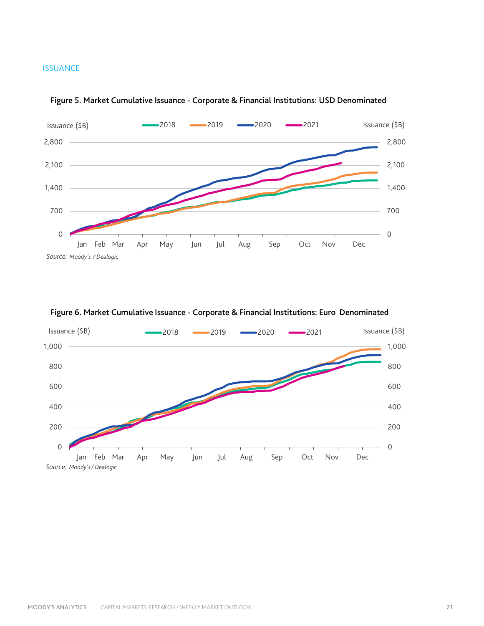### **ISSUANCE**





# Figure 6. Market Cumulative Issuance - Corporate & Financial Institutions: Euro Denominated

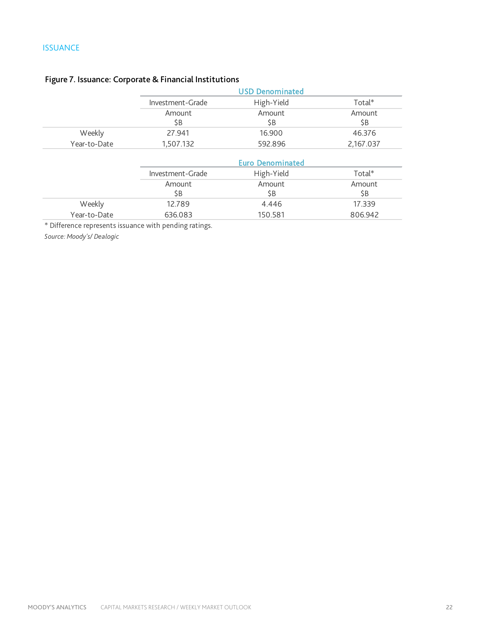# **ISSUANCE**

|              | <b>USD Denominated</b> |                         |               |  |
|--------------|------------------------|-------------------------|---------------|--|
|              | Investment-Grade       | High-Yield              | $Total*$      |  |
|              | Amount<br>\$B          | Amount<br>\$B           | Amount<br>\$B |  |
| Weekly       | 27.941                 | 16.900                  | 46.376        |  |
| Year-to-Date | 1,507.132              | 592.896                 | 2,167.037     |  |
|              |                        | <b>Euro Denominated</b> |               |  |
|              | Investment-Grade       | High-Yield              | $Total*$      |  |
|              | Amount<br>\$B          | Amount<br>\$B           | Amount<br>\$B |  |
| Weekly       | 12.789                 | 4.446                   | 17.339        |  |
| Year-to-Date |                        | 150.581                 |               |  |

# Figure 7. Issuance: Corporate & Financial Institutions

\* Difference represents issuance with pending ratings.

*Source: Moody's/ Dealogic*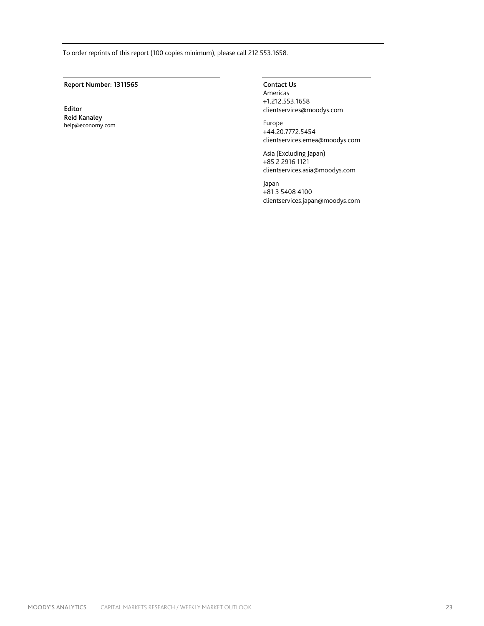To order reprints of this report (100 copies minimum), please call 212.553.1658.

Report Number: 1311565 Contact Us

Editor Reid Kanaley help@economy.com

Americas +1.212.553.1658 clientservices@moodys.com

Europe +44.20.7772.5454 clientservices.emea@moodys.com

Asia (Excluding Japan) +85 2 2916 1121 clientservices.asia@moodys.com

Japan +81 3 5408 4100 clientservices.japan@moodys.com